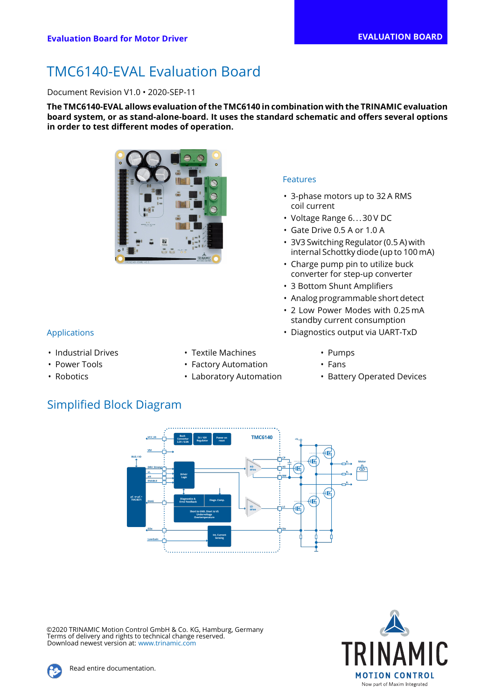# TMC6140-EVAL Evaluation Board

Document Revision V1.0 • 2020-SEP-11

**The TMC6140-EVAL allows evaluation of the TMC6140 in combination with the TRINAMIC evaluation board system, or as stand-alone-board. It uses the standard schematic and offers several options in order to test different modes of operation.**



• Industrial Drives

• Power Tools • Robotics

- Textile Machines
- Factory Automation
	- Laboratory Automation

#### Features

- 3-phase motors up to 32 A RMS coil current
- Voltage Range 6... 30 V DC
- Gate Drive 0.5 A or 1.0 A
- 3V3 Switching Regulator (0.5 A) with internal Schottky diode (up to 100 mA)
- Charge pump pin to utilize buck converter for step-up converter
- 3 Bottom Shunt Amplifiers
- Analog programmable short detect
- 2 Low Power Modes with 0.25 mA standby current consumption
- Applications Diagnostics output via UART-TxD
	- Pumps
	- Fans
	- Battery Operated Devices





©2020 TRINAMIC Motion Control GmbH & Co. KG, Hamburg, Germany Terms of delivery and rights to technical change reserved. Download newest version at: [www.trinamic.com](http://www.trinamic.com)

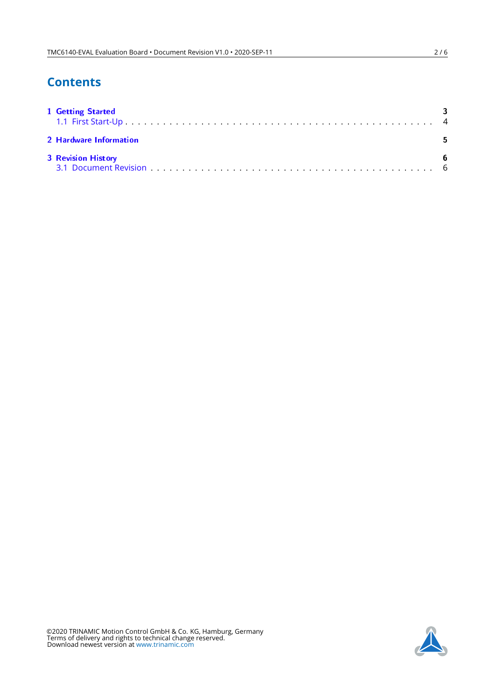# **Contents**

| <b>1 Getting Started</b>  | ્વ |
|---------------------------|----|
| 2 Hardware Information    |    |
| <b>3 Revision History</b> | 6  |

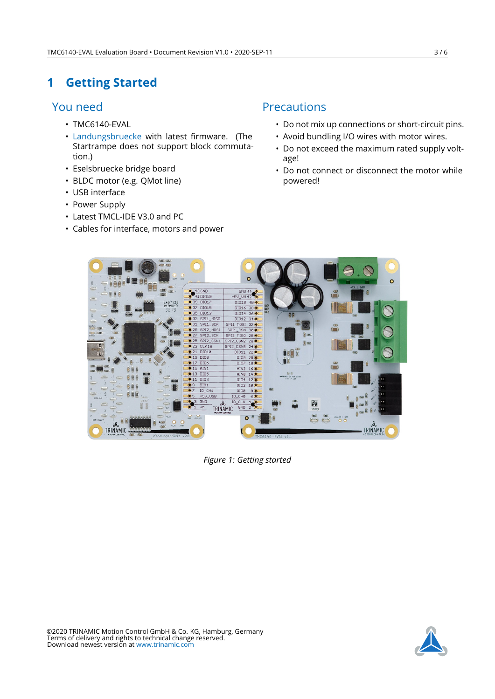# <span id="page-2-0"></span>**1 Getting Started**

## You need

- TMC6140-EVAL
- [Landungsbruecke](https://www.trinamic.com/support/eval-kits/details/landungsbruecke/) with latest firmware. (The Startrampe does not support block commutation.)
- Eselsbruecke bridge board
- BLDC motor (e.g. QMot line)
- USB interface
- Power Supply
- Latest TMCL-IDE V3.0 and PC
- Cables for interface, motors and power

## Precautions

- Do not mix up connections or short-circuit pins.
- Avoid bundling I/O wires with motor wires.
- Do not exceed the maximum rated supply voltage!
- Do not connect or disconnect the motor while powered!



*Figure 1: Getting started*

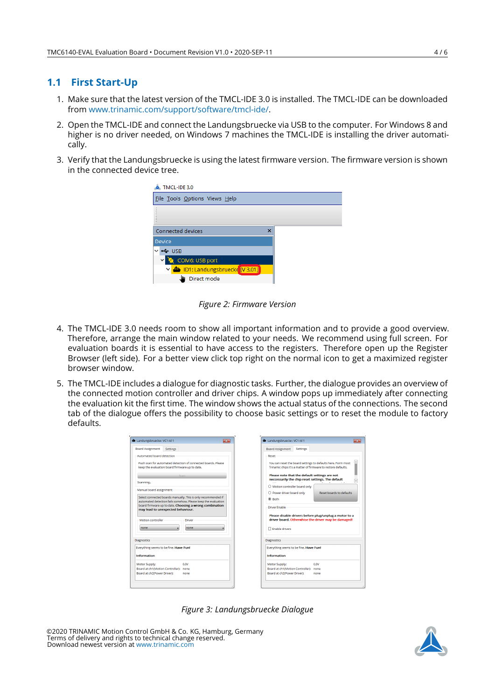#### <span id="page-3-0"></span>**1.1 First Start-Up**

- 1. Make sure that the latest version of the TMCL-IDE 3.0 is installed. The TMCL-IDE can be downloaded from [www.trinamic.com/support/software/tmcl-ide/.](https://www.trinamic.com/support/software/tmcl-ide/)
- 2. Open the TMCL-IDE and connect the Landungsbruecke via USB to the computer. For Windows 8 and higher is no driver needed, on Windows 7 machines the TMCL-IDE is installing the driver automatically.
- 3. Verify that the Landungsbruecke is using the latest firmware version. The firmware version is shown in the connected device tree.

| TMCL-IDE 3.0                                   |  |  |  |  |  |  |
|------------------------------------------------|--|--|--|--|--|--|
| File Tools Options Views Help                  |  |  |  |  |  |  |
|                                                |  |  |  |  |  |  |
| Connected devices<br>$\boldsymbol{\mathsf{x}}$ |  |  |  |  |  |  |
| Device                                         |  |  |  |  |  |  |
| ← USB                                          |  |  |  |  |  |  |
| COM6: USB port                                 |  |  |  |  |  |  |
| ∨ <mark>D1: Landungsbruecke [V 3.01]</mark>    |  |  |  |  |  |  |
| Direct mode                                    |  |  |  |  |  |  |

*Figure 2: Firmware Version*

- 4. The TMCL-IDE 3.0 needs room to show all important information and to provide a good overview. Therefore, arrange the main window related to your needs. We recommend using full screen. For evaluation boards it is essential to have access to the registers. Therefore open up the Register Browser (left side). For a better view click top right on the normal icon to get a maximized register browser window.
- 5. The TMCL-IDE includes a dialogue for diagnostic tasks. Further, the dialogue provides an overview of the connected motion controller and driver chips. A window pops up immediately after connecting the evaluation kit the first time. The window shows the actual status of the connections. The second tab of the dialogue offers the possibility to choose basic settings or to reset the module to factory defaults.

| Landungsbruecke: VC1-Id 1              | $\overline{\mathbf{z}}$                                                                                                        | Landungsbruecke: VC1-Id 1<br>$\overline{\mathbf{z}}$                                                                           |
|----------------------------------------|--------------------------------------------------------------------------------------------------------------------------------|--------------------------------------------------------------------------------------------------------------------------------|
| <b>Board Assignment</b>                | <b>Settings</b>                                                                                                                | <b>Board Assignment</b><br><b>Settings</b>                                                                                     |
| Automated board detection              |                                                                                                                                | Reset                                                                                                                          |
|                                        | Push scan for automated detection of connected boards. Please<br>keep the evaluation board firmware up to date.                | You can reset the board settings to defaults here. Form most<br>Trinamic chips it's a matter of firmware to restore defaults.  |
| Scanning                               | Scan                                                                                                                           | Please note that the default settings are not<br>neccessarily the chip reset settings. The default<br>$\overline{\phantom{0}}$ |
|                                        |                                                                                                                                | O Motion controller board only                                                                                                 |
| Manual board assignment                |                                                                                                                                | $\bigcirc$ Power driver board only<br>Reset boards to defaults.                                                                |
|                                        | Select connected boards manually. This is only recommended if<br>automated detection fails somehow. Please keep the evaluation | $@$ Roth                                                                                                                       |
|                                        | board firmware up to date. Choosing a wrong combination<br>may lead to unexpected behaviour.                                   | Driver Enable                                                                                                                  |
| Motion controller                      | <b>Driver</b>                                                                                                                  | Please disable drivers before plug/unplug a motor to a<br>driver board. Otherwhise the driver may be damaged!                  |
| none                                   | none                                                                                                                           | □ Enable drivers                                                                                                               |
| <b>Diagnostics</b>                     |                                                                                                                                | <b>Diagnostics</b>                                                                                                             |
| Everything seems to be fine. Have Fun! |                                                                                                                                | Everything seems to be fine. Have Fun!                                                                                         |
| <b>Information</b>                     |                                                                                                                                | <b>Information</b>                                                                                                             |
| Motor Supply:                          | 0.0V                                                                                                                           | Motor Supply:<br>0.0V                                                                                                          |
|                                        |                                                                                                                                | Board at ch1(Motion Controller): none                                                                                          |
| Board at ch1(Motion Controller): none  |                                                                                                                                | Board at ch2(Power Driver):<br>none                                                                                            |
| Board at ch2(Power Driver):            | none                                                                                                                           |                                                                                                                                |

*Figure 3: Landungsbruecke Dialogue*

©2020 TRINAMIC Motion Control GmbH & Co. KG, Hamburg, Germany Terms of delivery and rights to technical change reserved. Download newest version at [www.trinamic.com](https://www.trinamic.com)

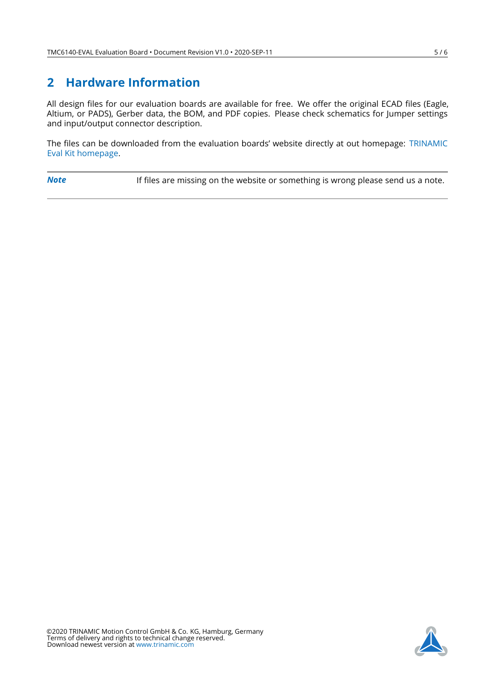## <span id="page-4-0"></span>**2 Hardware Information**

All design files for our evaluation boards are available for free. We offer the original ECAD files (Eagle, Altium, or PADS), Gerber data, the BOM, and PDF copies. Please check schematics for Jumper settings and input/output connector description.

The files can be downloaded from the evaluation boards' website directly at out homepage: [TRINAMIC](https://www.trinamic.com/support/eval-kits/) [Eval Kit homepage.](https://www.trinamic.com/support/eval-kits/)

**Note** If files are missing on the website or something is wrong please send us a note.